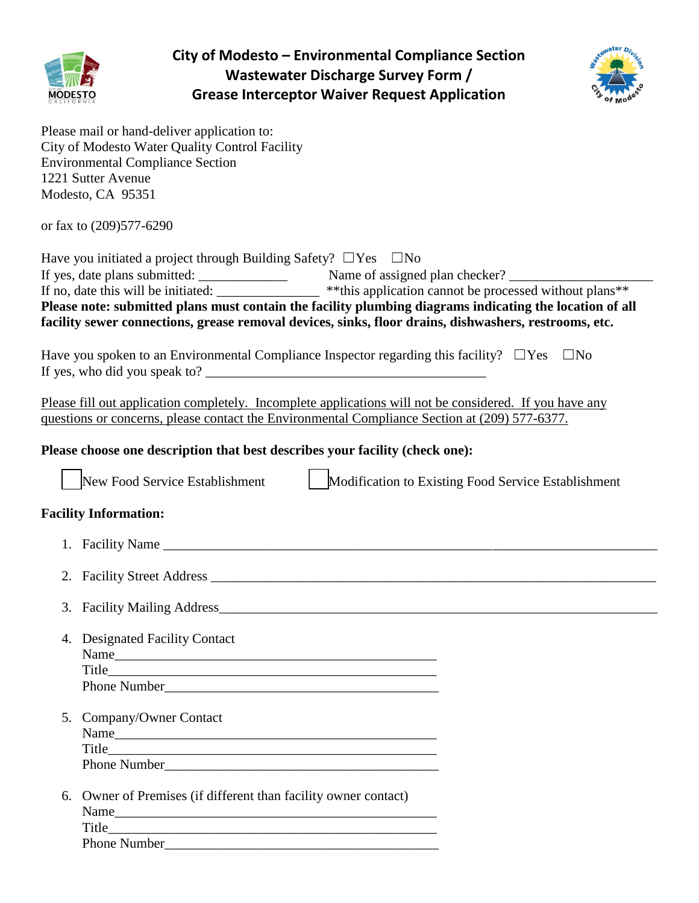

**City of Modesto – Environmental Compliance Section Wastewater Discharge Survey Form / Grease Interceptor Waiver Request Application**



Please mail or hand-deliver application to: City of Modesto Water Quality Control Facility Environmental Compliance Section 1221 Sutter Avenue Modesto, CA 95351

or fax to (209)577-6290

| Have you initiated a project through Building Safety? $\Box$ Yes $\Box$ No                              |                                                                     |  |  |
|---------------------------------------------------------------------------------------------------------|---------------------------------------------------------------------|--|--|
| If yes, date plans submitted:                                                                           | Name of assigned plan checker?                                      |  |  |
| If no, date this will be initiated:                                                                     | ** this application cannot be processed without plans <sup>**</sup> |  |  |
| Please note: submitted plans must contain the facility plumbing diagrams indicating the location of all |                                                                     |  |  |
| facility sewer connections, grease removal devices, sinks, floor drains, dishwashers, restrooms, etc.   |                                                                     |  |  |

Have you spoken to an Environmental Compliance Inspector regarding this facility?  $\square$  Yes  $\square$  No If yes, who did you speak to?

Please fill out application completely. Incomplete applications will not be considered. If you have any questions or concerns, please contact the Environmental Compliance Section at (209) 577-6377.

### **Please choose one description that best describes your facility (check one):**

|    | New Food Service Establishment                                                      | Modification to Existing Food Service Establishment |
|----|-------------------------------------------------------------------------------------|-----------------------------------------------------|
|    | <b>Facility Information:</b>                                                        |                                                     |
|    |                                                                                     |                                                     |
|    |                                                                                     |                                                     |
| 3. |                                                                                     |                                                     |
| 4. | <b>Designated Facility Contact</b>                                                  |                                                     |
|    | 5. Company/Owner Contact                                                            |                                                     |
| 6. | Owner of Premises (if different than facility owner contact)<br><b>Phone Number</b> |                                                     |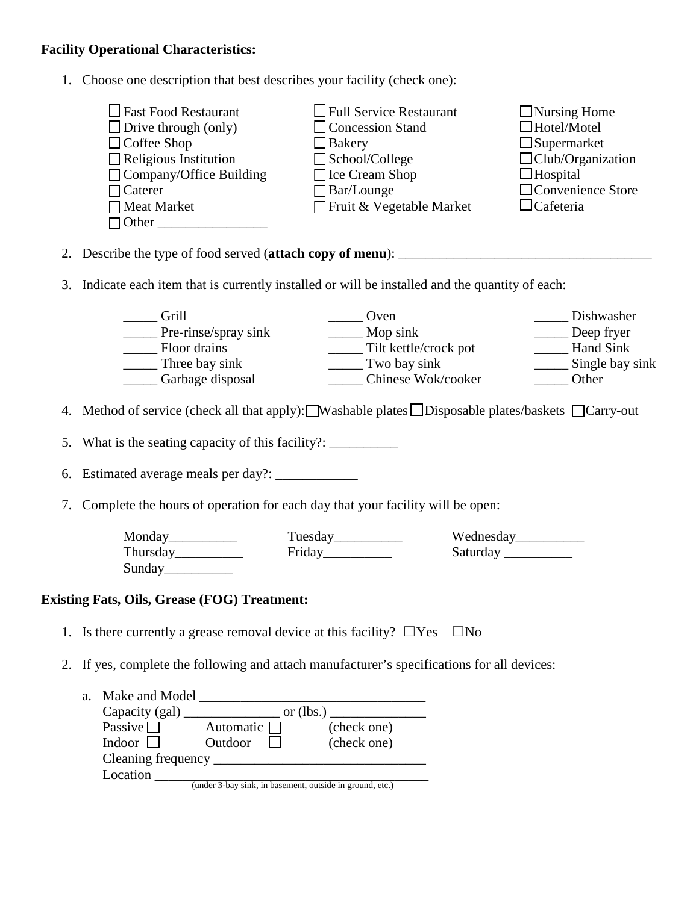## **Facility Operational Characteristics:**

1. Choose one description that best describes your facility (check one):

| $\Box$ Fast Food Restaurant        | $\Box$ Full Service Restaurant | $\Box$ Nursing Home      |
|------------------------------------|--------------------------------|--------------------------|
| $\Box$ Drive through (only)        | $\Box$ Concession Stand        | $\Box$ Hotel/Motel       |
| $\Box$ Coffee Shop                 | $\Box$ Bakery                  | $\Box$ Supermarket       |
| $\Box$ Religious Institution       | $\Box$ School/College          | $\Box$ Club/Organization |
| $\Box$ Company/Office Building     | $\Box$ Ice Cream Shop          | $\Box$ Hospital          |
| $\Box$ Caterer                     | $\Box$ Bar/Lounge              | $\Box$ Convenience Store |
| $\Box$ Meat Market<br>$\Box$ Other | Fruit & Vegetable Market       | $\Box$ Cafeteria         |

- 2. Describe the type of food served (**attach copy of menu**): \_\_\_\_\_\_\_\_\_\_\_\_\_\_\_\_\_\_\_\_\_\_\_\_\_\_\_\_\_\_\_\_\_\_\_\_\_
- 3. Indicate each item that is currently installed or will be installed and the quantity of each:

| Grill                | Dven (                | Dishwasher      |
|----------------------|-----------------------|-----------------|
| Pre-rinse/spray sink | Mop sink              | Deep fryer      |
| Floor drains         | Tilt kettle/crock pot | Hand Sink       |
| Three bay sink       | Two bay sink          | Single bay sink |
| Garbage disposal     | Chinese Wok/cooker    | Other           |

4. Method of service (check all that apply): Washable plates  $\Box$  Disposable plates/baskets  $\Box$  Carry-out

5. What is the seating capacity of this facility?:

6. Estimated average meals per day?: \_\_\_\_\_\_\_\_\_\_\_\_

7. Complete the hours of operation for each day that your facility will be open:

Monday\_\_\_\_\_\_\_\_\_\_\_\_\_\_\_ Tuesday\_\_\_\_\_\_\_\_\_\_\_\_ Wednesday\_\_\_\_\_\_\_\_\_\_\_\_\_\_\_\_\_\_\_\_\_\_\_\_\_\_\_\_\_ Thursday\_\_\_\_\_\_\_\_\_\_\_\_\_\_\_\_ Friday\_\_\_\_\_\_\_\_\_\_\_\_\_\_ Saturday \_\_\_\_\_\_\_\_\_\_\_\_\_\_\_\_\_\_\_\_\_\_\_\_\_ Sunday\_\_\_\_\_\_\_\_\_\_

#### **Existing Fats, Oils, Grease (FOG) Treatment:**

- 1. Is there currently a grease removal device at this facility?  $\square$  Yes  $\square$  No
- 2. If yes, complete the following and attach manufacturer's specifications for all devices:

| a. | Make and Model |                  |                                                          |
|----|----------------|------------------|----------------------------------------------------------|
|    |                |                  | or $(lbs.)$                                              |
|    | Passive $\Box$ | Automatic $\Box$ | (check one)                                              |
|    | Indoor $\Box$  | Outdoor          | (check one)                                              |
|    |                |                  |                                                          |
|    | Location       |                  |                                                          |
|    |                |                  | (under 3-bay sink, in basement, outside in ground, etc.) |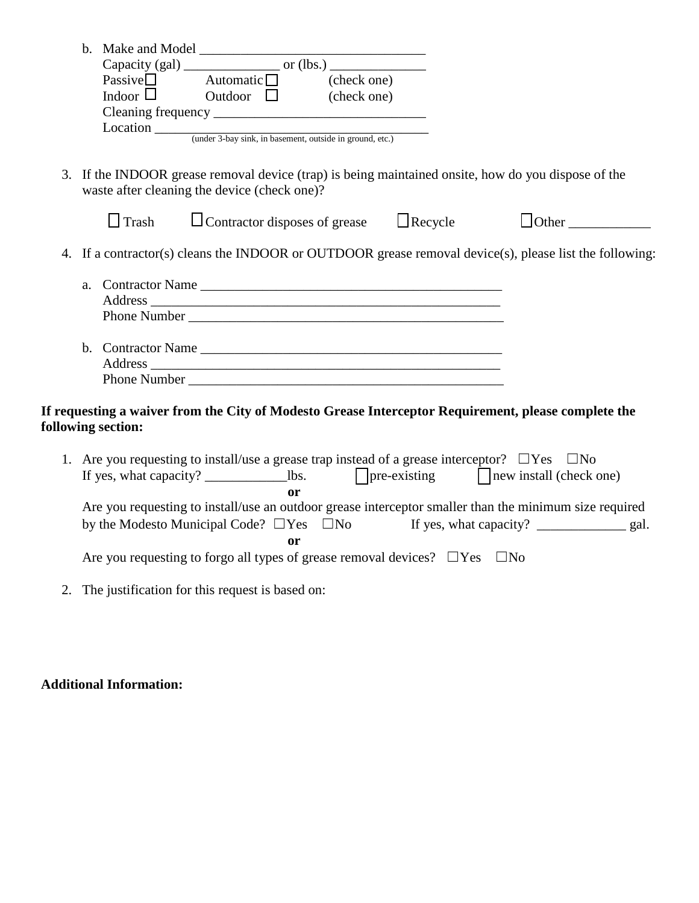| Passive $\square$ Automatic $\square$ (check one)                                                                                                                                                                                                                                                                                               |              |
|-------------------------------------------------------------------------------------------------------------------------------------------------------------------------------------------------------------------------------------------------------------------------------------------------------------------------------------------------|--------------|
| Indoor $\Box$ Outdoor $\Box$ (check one)                                                                                                                                                                                                                                                                                                        |              |
|                                                                                                                                                                                                                                                                                                                                                 |              |
|                                                                                                                                                                                                                                                                                                                                                 |              |
|                                                                                                                                                                                                                                                                                                                                                 |              |
| 3. If the INDOOR grease removal device (trap) is being maintained onsite, how do you dispose of the<br>waste after cleaning the device (check one)?                                                                                                                                                                                             |              |
| $\Box$ Trash $\Box$ Contractor disposes of grease $\Box$ Recycle                                                                                                                                                                                                                                                                                | $\Box$ Other |
| 4. If a contractor(s) cleans the INDOOR or OUTDOOR grease removal device(s), please list the following:<br>Phone Number <u>and the second contract of the second contract of the second contract of the second contract of the second contract of the second contract of the second contract of the second contract of the second contract </u> |              |
| If requesting a waiver from the City of Modesto Grease Interceptor Requirement, please complete the<br>following section:                                                                                                                                                                                                                       |              |
| 1. Are you requesting to install/use a grease trap instead of a grease interceptor? $\Box$ Yes $\Box$ No                                                                                                                                                                                                                                        |              |
| <b>or</b>                                                                                                                                                                                                                                                                                                                                       |              |
| Are you requesting to install/use an outdoor grease interceptor smaller than the minimum size required                                                                                                                                                                                                                                          |              |
|                                                                                                                                                                                                                                                                                                                                                 |              |
| or                                                                                                                                                                                                                                                                                                                                              |              |
| Are you requesting to forgo all types of grease removal devices? $\square$ Yes $\square$ No                                                                                                                                                                                                                                                     |              |

2. The justification for this request is based on:

# **Additional Information:**